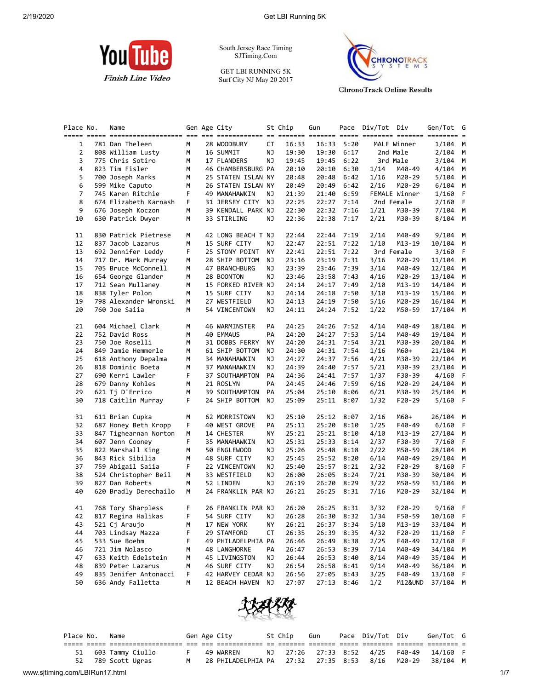

South Jersey Race Timing SJTiming.Com

GET LBI RUNNING 5K Surf City NJ May 20 2017



**ChronoTrack Online Results** 

| Place No. | Name                  |   | Gen Age City       |    | St Chip | Gun        |      | Pace Div/Tot Div |               | Gen/Tot G | $=$ |
|-----------|-----------------------|---|--------------------|----|---------|------------|------|------------------|---------------|-----------|-----|
| 1         | 781 Dan Theleen       | М | 28 WOODBURY        | СT | 16:33   | 16:33      | 5:20 |                  | MALE Winner   | 1/104     | М   |
| 2         | 808 William Lusty     | М | 16 SUMMIT          | ΝJ | 19:30   | 19:30      | 6:17 |                  | 2nd Male      | 2/104     | М   |
| 3         | 775 Chris Sotiro      | М | 17 FLANDERS        | ΝJ | 19:45   | 19:45      | 6:22 |                  | 3rd Male      | 3/104     | М   |
| 4         | 823 Tim Fisler        | м | 46 CHAMBERSBURG PA |    | 20:10   | 20:10      | 6:30 | 1/14             | M40-49        | 4/104     | М   |
| 5         | 700 Joseph Marks      | м | 25 STATEN ISLAN NY |    | 20:48   | 20:48      | 6:42 | 1/16             | M20-29        | 5/104     | М   |
| 6         | 599 Mike Caputo       | м | 26 STATEN ISLAN NY |    | 20:49   | 20:49      | 6:42 | 2/16             | M20-29        | 6/104     | М   |
| 7         | 745 Karen Ritchie     | F | 49 MANAHAWKIN      | ΝJ | 21:39   | 21:40      | 6:59 |                  | FEMALE Winner | 1/160     | F   |
| 8         | 674 Elizabeth Karnash | F | 31 JERSEY CITY     | ΝJ | 22:25   | 22:27      | 7:14 |                  | 2nd Female    | 2/160     | F   |
| 9         | 676 Joseph Koczon     | М | 39 KENDALL PARK NJ |    | 22:30   | 22:32      | 7:16 | 1/21             | M30-39        | 7/104     | M   |
| 10        | 630 Patrick Dwyer     | М | 33 STIRLING        | ΝJ | 22:36   | 22:38      | 7:17 | 2/21             | M30-39        | 8/104     | М   |
| 11        | 830 Patrick Pietrese  | м | 42 LONG BEACH T NJ |    | 22:44   | 22:44      | 7:19 | 2/14             | M40-49        | 9/104     | M   |
| 12        | 837 Jacob Lazarus     | М | 15 SURF CITY       | ΝJ | 22:47   | 22:51      | 7:22 | 1/10             | M13-19        | 10/104    | М   |
| 13        | 692 Jennifer Leddy    | F | 25 STONY POINT     | ΝY | 22:41   | 22:51      | 7:22 |                  | 3rd Female    | 3/160     | F.  |
| 14        | 717 Dr. Mark Murray   | М | 28 SHIP BOTTOM     | NJ | 23:16   | 23:19      | 7:31 | 3/16             | M20-29        | 11/104    | М   |
| 15        | 705 Bruce McConnell   | м | 47 BRANCHBURG      | ΝJ | 23:39   | 23:46      | 7:39 | 3/14             | M40-49        | 12/104    | М   |
| 16        | 654 George Glander    | м | 28 BOONTON         | NJ | 23:46   | 23:58      | 7:43 | 4/16             | M20-29        | 13/104    | М   |
| 17        | 712 Sean Mullaney     | М | 15 FORKED RIVER NJ |    | 24:14   | 24:17      | 7:49 | 2/10             | M13-19        | 14/104    | М   |
| 18        | 838 Tyler Polon       | м | 15 SURF CITY       | ΝJ | 24:14   | 24:18      | 7:50 | 3/10             | M13-19        | 15/104    | М   |
| 19        | 798 Alexander Wronski | М | 27 WESTFIELD       | ΝJ | 24:13   | 24:19      | 7:50 | 5/16             | M20-29        | 16/104    | М   |
| 20        | 760 Joe Saiia         | м | 54 VINCENTOWN      | ΝJ | 24:11   | 24:24      | 7:52 | 1/22             | M50-59        | 17/104    | М   |
| 21        | 604 Michael Clark     | М | 46 WARMINSTER      | PA | 24:25   | 24:26      | 7:52 | 4/14             | M40-49        | 18/104    | M   |
| 22        | 752 David Ross        | М | <b>40 EMMAUS</b>   | PA | 24:20   | 24:27      | 7:53 | 5/14             | M40-49        | 19/104    | М   |
| 23        | 750 Joe Roselli       | м | 31 DOBBS FERRY     | ΝY | 24:20   | 24:31      | 7:54 | 3/21             | M30-39        | 20/104    | М   |
| 24        | 849 Jamie Hemmerle    | м | 61 SHIP BOTTOM     | ΝJ | 24:30   | 24:31      | 7:54 | 1/16             | M60+          | 21/104    | М   |
| 25        | 618 Anthony Depalma   | М | 34 MANAHAWKIN      | NJ | 24:27   | 24:37      | 7:56 | 4/21             | M30-39        | 22/104    | М   |
| 26        | 818 Dominic Boeta     | м | 37 MANAHAWKIN      | ΝJ | 24:39   | 24:40      | 7:57 | 5/21             | M30-39        | 23/104    | М   |
| 27        | 690 Kerri Lawler      | F | 37 SOUTHAMPTON     | PA | 24:36   | 24:41      | 7:57 | 1/37             | F30-39        | 4/160     | F   |
| 28        | 679 Danny Kohles      | М | 21 ROSLYN          | PA | 24:45   | 24:46      | 7:59 | 6/16             | M20-29        | 24/104    | М   |
| 29        | 621 Tj D'Errico       | м | 39 SOUTHAMPTON     | PA | 25:04   | 25:10      | 8:06 | 6/21             | M30-39        | 25/104    | М   |
| 30        | 718 Caitlin Murray    | F | 24 SHIP BOTTOM     | ΝJ | 25:09   | 25:11      | 8:07 | 1/32             | F20-29        | 5/160     | -F  |
| 31        | 611 Brian Cupka       | м | 62 MORRISTOWN      | ΝJ | 25:10   | 25:12      | 8:07 | 2/16             | M60+          | 26/104    | M   |
| 32        | 687 Honey Beth Kropp  | F | 40 WEST GROVE      | PA | 25:11   | 25:20      | 8:10 | 1/25             | F40-49        | 6/160     | F.  |
| 33        | 847 Tighearnan Norton | М | 14 CHESTER         | ΝY | 25:21   | 25:21      | 8:10 | 4/10             | M13-19        | 27/104    | М   |
| 34        | 607 Jenn Cooney       | F | 35 MANAHAWKIN      | ΝJ | 25:31   | 25:33      | 8:14 | 2/37             | F30-39        | 7/160     | F   |
| 35        | 822 Marshall King     | м | 50 ENGLEWOOD       | ΝJ | 25:26   | 25:48      | 8:18 | 2/22             | M50-59        | 28/104    | М   |
| 36        | 843 Rick Sibilia      | М | 48 SURF CITY       | ΝJ | 25:45   | 25:52      | 8:20 | 6/14             | M40-49        | 29/104    | М   |
| 37        | 759 Abigail Saiia     | F | 22 VINCENTOWN      | ΝJ | 25:40   | 25:57      | 8:21 | 2/32             | F20-29        | 8/160     | F.  |
| 38        | 524 Christopher Beil  | М | 33 WESTFIELD       | ΝJ | 26:00   | 26:05      | 8:24 | 7/21             | M30-39        | 30/104    | М   |
| 39        | 827 Dan Roberts       | М | 52 LINDEN          | ΝJ | 26:19   | 26:20      | 8:29 | 3/22             | M50-59        | 31/104    | М   |
| 40        | 620 Bradly Derechailo | М | 24 FRANKLIN PAR NJ |    | 26:21   | 26:25      | 8:31 | 7/16             | M20-29        | 32/104    | М   |
| 41        | 768 Tory Sharpless    | F | 26 FRANKLIN PAR NJ |    | 26:20   | 26:25 8:31 |      | 3/32             | $F20-29$      | 9/160     | F   |
| 42        | 817 Regina Halikas    | F | 54 SURF CITY       | ΝJ | 26:28   | 26:30 8:32 |      | 1/34             | F50-59        | 10/160    | - F |
| 43        | 521 Cj Araujo         | М | 17 NEW YORK        | ΝY | 26:21   | 26:37      | 8:34 | 5/10             | M13-19        | 33/104    | M   |
| 44        | 703 Lindsay Mazza     | F | 29 STAMFORD        | СT | 26:35   | 26:39      | 8:35 | 4/32             | $F20-29$      | 11/160    | F   |
| 45        | 533 Sue Boehm         | F | 49 PHILADELPHIA PA |    | 26:46   | 26:49      | 8:38 | 2/25             | F40-49        | 12/160    | F   |
| 46        | 721 Jim Nolasco       | м | 48 LANGHORNE       | PA | 26:47   | 26:53      | 8:39 | 7/14             | M40-49        | 34/104    | M   |
| 47        | 633 Keith Edelstein   | м | 45 LIVINGSTON      | ΝJ | 26:44   | 26:53      | 8:40 | 8/14             | M40-49        | 35/104    | M   |
| 48        | 839 Peter Lazarus     | м | 46 SURF CITY       | ΝJ | 26:54   | 26:58      | 8:41 | 9/14             | M40-49        | 36/104    | M   |
| 49        | 835 Jenifer Antonacci | F | 42 HARVEY CEDAR NJ |    | 26:56   | 27:05      | 8:43 | 3/25             | F40-49        | 13/160    | F.  |
| 50        | 636 Andy Falletta     | М | 12 BEACH HAVEN     | ΝJ | 27:07   | 27:13      | 8:46 | 1/2              | M12&UND       | 37/104    | M   |



| Place No.                      | Name             |                | Gen Age City                                      | St Chip | Gun | Pace Div/Tot Div         |        | Gen/Tot G |     |
|--------------------------------|------------------|----------------|---------------------------------------------------|---------|-----|--------------------------|--------|-----------|-----|
|                                |                  |                |                                                   |         |     |                          |        |           |     |
| 51                             | 603 Tammy Ciullo |                | 49 WARREN                                         |         |     | NJ 27:26 27:33 8:52 4/25 | F40-49 | 14/160 F  |     |
| 52                             | 789 Scott Ugras  | M <sub>N</sub> | 28 PHILADELPHIA PA   27:32   27:35   8:53    8/16 |         |     |                          | M20-29 | 38/104 M  |     |
| www.sjtiming.com/LBIRun17.html |                  |                |                                                   |         |     |                          |        |           | 1/7 |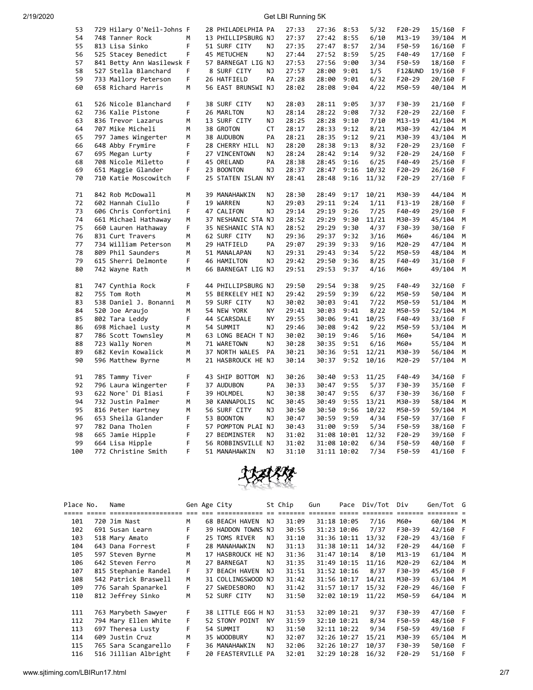| 53  | 729 Hilary O'Neil-Johns F |    | 28 PHILADELPHIA PA |           | 27:33 | 27:36 | 8:53        | 5/32  | $F20-29$           | 15/160 | F  |
|-----|---------------------------|----|--------------------|-----------|-------|-------|-------------|-------|--------------------|--------|----|
| 54  | 748 Tanner Rock           | M  | 13 PHILLIPSBURG NJ |           | 27:37 |       | 27:42 8:55  | 6/10  | $M13-19$           | 39/104 | M  |
| 55  | 813 Lisa Sinko            | F  | 51 SURF CITY       | ΝJ        | 27:35 | 27:47 | 8:57        | 2/34  | F50-59             | 16/160 | F  |
| 56  | 525 Stacey Benedict       | F  | 45 METUCHEN        | ΝJ        | 27:44 | 27:52 | 8:59        | 5/25  | F40-49             | 17/160 | F  |
| 57  | 841 Betty Ann Wasilewsk F |    | 57 BARNEGAT LIG NJ |           | 27:53 | 27:56 | 9:00        | 3/34  | F50-59             | 18/160 | F  |
| 58  | 527 Stella Blanchard      | F  | 8 SURF CITY        | ΝJ        | 27:57 | 28:00 | 9:01        | 1/5   | <b>F12&amp;UND</b> | 19/160 | F  |
|     |                           |    |                    |           |       |       |             |       |                    |        |    |
| 59  | 733 Mallory Peterson      | F  | 26 HATFIELD        | PA        | 27:28 | 28:00 | 9:01        | 6/32  | F20-29             | 20/160 | F. |
| 60  | 658 Richard Harris        | М  | 56 EAST BRUNSWI NJ |           | 28:02 | 28:08 | 9:04        | 4/22  | M50-59             | 40/104 | M  |
| 61  | 526 Nicole Blanchard      | F. | 38 SURF CITY       | NJ        | 28:03 | 28:11 | 9:05        | 3/37  | F30-39             | 21/160 | F  |
| 62  | 736 Kalie Pistone         | F  | 26 MARLTON         | NJ        | 28:14 | 28:22 | 9:08        | 7/32  | $F20-29$           | 22/160 | F  |
| 63  | 836 Trevor Lazarus        | М  | 13 SURF CITY       | ΝJ        | 28:25 | 28:28 | 9:10        | 7/10  | M13-19             | 41/104 | M  |
| 64  | 707 Mike Micheli          | M  | 38 GROTON          | СT        | 28:17 | 28:33 | 9:12        | 8/21  | M30-39             | 42/104 | M  |
| 65  | 797 James Wingerter       | M  | 38 AUDUBON         | PA        | 28:21 | 28:35 | 9:12        | 9/21  | M30-39             | 43/104 | М  |
| 66  | 648 Abby Frymire          | F  | 28 CHERRY HILL     | ΝJ        | 28:20 | 28:38 | 9:13        | 8/32  | F20-29             | 23/160 | F  |
| 67  | 695 Megan Lurty           | F  | 27 VINCENTOWN      | ΝJ        | 28:24 | 28:42 | 9:14        | 9/32  | F20-29             | 24/160 | F  |
| 68  | 708 Nicole Miletto        | F  | 45 ORELAND         | PA        | 28:38 | 28:45 | 9:16        | 6/25  | F40-49             | 25/160 | F  |
| 69  | 651 Maggie Glander        | F  | 23 BOONTON         | NJ        | 28:37 | 28:47 | 9:16        | 10/32 | F20-29             | 26/160 | F  |
|     |                           |    |                    |           |       |       |             |       |                    |        |    |
| 70  | 710 Katie Moscowitch      | F  | 25 STATEN ISLAN NY |           | 28:41 | 28:48 | 9:16        | 11/32 | F20-29             | 27/160 | F  |
| 71  | 842 Rob McDowall          | M  | 39 MANAHAWKIN      | NJ        | 28:30 | 28:49 | 9:17        | 10/21 | M30-39             | 44/104 | М  |
| 72  | 602 Hannah Ciullo         | F  | 19 WARREN          | NJ        | 29:03 | 29:11 | 9:24        | 1/11  | $F13-19$           | 28/160 | F  |
| 73  | 606 Chris Confortini      | F. | 47 CALIFON         | NJ        | 29:14 | 29:19 | 9:26        | 7/25  | F40-49             | 29/160 | F  |
| 74  |                           | М  | 37 NESHANIC STA NJ |           | 28:52 | 29:29 | 9:30        | 11/21 | M30-39             | 45/104 | М  |
| 75  | 661 Michael Hathaway      | F  |                    |           | 28:52 |       | 9:30        |       |                    |        | F  |
|     | 660 Lauren Hathaway       |    | 35 NESHANIC STA NJ |           |       | 29:29 |             | 4/37  | F30-39             | 30/160 |    |
| 76  | 831 Curt Travers          | M  | 62 SURF CITY       | NJ        | 29:36 | 29:37 | 9:32        | 3/16  | M60+               | 46/104 | M  |
| 77  | 734 William Peterson      | М  | 29 HATFIELD        | PA        | 29:07 | 29:39 | 9:33        | 9/16  | M20-29             | 47/104 | M  |
| 78  | 809 Phil Saunders         | м  | 51 MANALAPAN       | ΝJ        | 29:31 | 29:43 | 9:34        | 5/22  | M50-59             | 48/104 | М  |
| 79  | 615 Sherri Delmonte       | F. | 46 HAMILTON        | NJ        | 29:42 | 29:50 | 9:36        | 8/25  | F40-49             | 31/160 | F. |
| 80  | 742 Wayne Rath            | М  | 66 BARNEGAT LIG NJ |           | 29:51 | 29:53 | 9:37        | 4/16  | M60+               | 49/104 | M  |
| 81  | 747 Cynthia Rock          | F  | 44 PHILLIPSBURG NJ |           | 29:50 | 29:54 | 9:38        | 9/25  | F40-49             | 32/160 | F  |
| 82  | 755 Tom Roth              | M  | 55 BERKELEY HEI NJ |           | 29:42 | 29:59 | 9:39        | 6/22  | M50-59             | 50/104 | М  |
| 83  | 538 Daniel J. Bonanni     | М  | 59 SURF CITY       | NJ        | 30:02 | 30:03 | 9:41        | 7/22  | M50-59             | 51/104 | M  |
| 84  | 520 Joe Araujo            | М  | 54 NEW YORK        | <b>NY</b> | 29:41 | 30:03 | 9:41        | 8/22  | M50-59             | 52/104 | М  |
| 85  | 802 Tara Leddy            | F  | 44 SCARSDALE       | NY        | 29:55 | 30:06 | 9:41        | 10/25 | F40-49             | 33/160 | F  |
| 86  |                           | M  | 54 SUMMIT          | NJ        | 29:46 | 30:08 | 9:42        | 9/22  | M50-59             | 53/104 | M  |
|     | 698 Michael Lusty         |    |                    |           |       |       |             |       |                    |        |    |
| 87  | 786 Scott Townsley        | М  | 63 LONG BEACH T NJ |           | 30:02 | 30:19 | 9:46        | 5/16  | M60+               | 54/104 | M  |
| 88  | 723 Wally Noren           | M  | 71 WARETOWN        | ΝJ        | 30:28 | 30:35 | 9:51        | 6/16  | M60+               | 55/104 | M  |
| 89  | 682 Kevin Kowalick        | M  | 37 NORTH WALES PA  |           | 30:21 | 30:36 | 9:51        | 12/21 | M30-39             | 56/104 | M  |
| 90  | 596 Matthew Byrne         | M  | 21 HASBROUCK HE NJ |           | 30:14 | 30:37 | 9:52        | 10/16 | M20-29             | 57/104 | M  |
| 91  | 785 Tammy Tiver           | F  | 43 SHIP BOTTOM     | ΝJ        | 30:26 | 30:40 | 9:53        | 11/25 | F40-49             | 34/160 | F  |
| 92  | 796 Laura Wingerter       | F  | 37 AUDUBON         | PA        | 30:33 | 30:47 | 9:55        | 5/37  | F30-39             | 35/160 | F  |
| 93  | 622 Nore' Di Biasi        | F  | 39 HOLMDEL         | NJ        | 30:38 | 30:47 | 9:55        | 6/37  | F30-39             | 36/160 | F  |
| 94  | 732 Justin Palmer         | M  | 30 KANNAPOLIS      | <b>NC</b> | 30:45 | 30:49 | 9:55        | 13/21 | M30-39             | 58/104 | M  |
| 95  | 816 Peter Hartney         | М  | 56 SURF CITY       | ΝJ        | 30:50 | 30:50 | 9:56        | 10/22 | M50-59             | 59/104 | M  |
| 96  | 653 Sheila Glander        | F  | 53 BOONTON         | NJ        | 30:47 | 30:59 | 9:59        | 4/34  | F50-59             | 37/160 | F  |
| 97  | 782 Dana Tholen           | F  | 57 POMPTON PLAI NJ |           | 30:43 | 31:00 | 9:59        | 5/34  | F50-59             | 38/160 | F  |
| 98  | 665 Jamie Hipple          | F  | 27 BEDMINSTER      | NJ        | 31:02 |       | 31:08 10:01 | 12/32 | F20-29             | 39/160 | F  |
|     |                           | F  |                    |           |       |       |             |       |                    |        |    |
| 99  | 664 Lisa Hipple           |    | 56 ROBBINSVILLE NJ |           | 31:02 |       | 31:08 10:02 | 6/34  | F50-59             | 40/160 | F  |
| 100 | 772 Christine Smith       | F  | 51 MANAHAWKIN      | <b>NJ</b> | 31:10 |       | 31:11 10:02 | 7/34  | F50-59             | 41/160 | F  |



| Place No. | Name                  |    | Gen Age City          |     | St Chip | Gun | Pace        | Div/Tot | Div      | Gen/Tot G |    |
|-----------|-----------------------|----|-----------------------|-----|---------|-----|-------------|---------|----------|-----------|----|
|           | ===================== |    |                       |     |         |     |             |         |          |           |    |
| 101       | 720 Jim Nast          | м  | <b>68 BEACH HAVEN</b> | NJ  | 31:09   |     | 31:18 10:05 | 7/16    | M60+     | 60/104 M  |    |
| 102       | 691 Susan Learn       | F  | 39 HADDON TOWNS NJ    |     | 30:55   |     | 31:23 10:06 | 7/37    | F30-39   | 42/160    | F  |
| 103       | 518 Mary Amato        | F  | 25 TOMS RIVER         | NJ  | 31:10   |     | 31:36 10:11 | 13/32   | $F20-29$ | 43/160 F  |    |
| 104       | 643 Dana Forrest      | F  | 28 MANAHAWKIN         | ΝJ  | 31:13   |     | 31:38 10:11 | 14/32   | $F20-29$ | 44/160 F  |    |
| 105       | 597 Steven Byrne      | M  | 17 HASBROUCK HE NJ    |     | 31:36   |     | 31:47 10:14 | 8/10    | $M13-19$ | 61/104 M  |    |
| 106       | 642 Steven Ferro      | м  | 27 BARNEGAT           | NJ. | 31:35   |     | 31:49 10:15 | 11/16   | M20-29   | 62/104 M  |    |
| 107       | 815 Stephanie Randel  | F. | 37 BEACH HAVEN        | NJ. | 31:51   |     | 31:52 10:16 | 8/37    | F30-39   | 45/160 F  |    |
| 108       | 542 Patrick Braswell  | м  | 31 COLLINGSWOOD NJ    |     | 31:42   |     | 31:56 10:17 | 14/21   | M30-39   | 63/104    | M  |
| 109       | 776 Sarah Spanarkel   | F. | 27 SWEDESBORO         | ΝJ  | 31:42   |     | 31:57 10:17 | 15/32   | $F20-29$ | 46/160    | -F |
| 110       | 812 Jeffrey Sinko     | M  | 52 SURF CITY          | NJ. | 31:50   |     | 32:02 10:19 | 11/22   | M50-59   | 64/104 M  |    |
|           |                       |    |                       |     |         |     |             |         |          |           |    |
| 111       | 763 Marybeth Sawyer   | F  | 38 LITTLE EGG H NJ    |     | 31:53   |     | 32:09 10:21 | 9/37    | F30-39   | 47/160 F  |    |
| 112       | 794 Mary Ellen White  | F. | 52 STONY POINT        | ΝY  | 31:59   |     | 32:10 10:21 | 8/34    | F50-59   | 48/160    | -F |
| 113       | 697 Theresa Lusty     | F  | 54 SUMMIT             | NJ. | 31:50   |     | 32:11 10:22 | 9/34    | F50-59   | 49/160    | F  |
| 114       | 609 Justin Cruz       | м  | 35 WOODBURY           | NJ. | 32:07   |     | 32:26 10:27 | 15/21   | M30-39   | 65/104    | M  |
| 115       | 765 Sara Scangarello  | F. | 36 MANAHAWKIN         | NJ. | 32:06   |     | 32:26 10:27 | 10/37   | F30-39   | 50/160    | F  |
| 116       | 516 Jillian Albright  | F  | 20 FEASTERVILLE PA    |     | 32:01   |     | 32:29 10:28 | 16/32   | $F20-29$ | 51/160    | F  |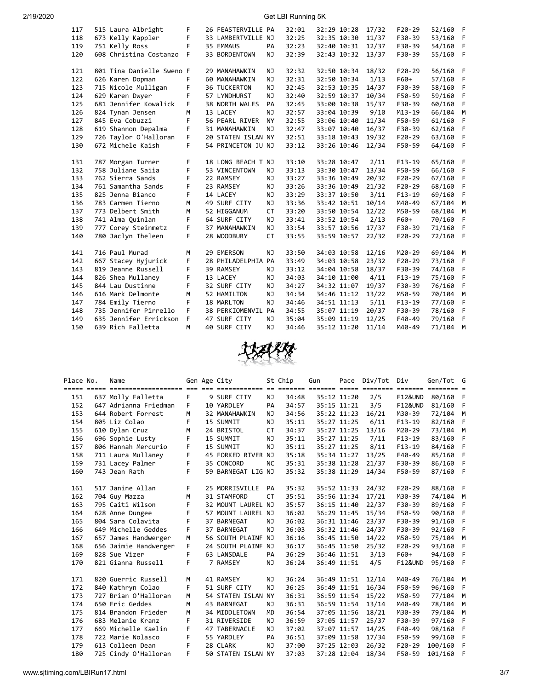| 117 | 515 Laura Albright        | F  | 26 FEASTERVILLE PA  |           |       |             | 32:29 10:28 | 17/32 |            | 52/160 |             |
|-----|---------------------------|----|---------------------|-----------|-------|-------------|-------------|-------|------------|--------|-------------|
|     |                           |    |                     |           | 32:01 |             |             |       | $F20-29$   |        | - F         |
| 118 | 673 Kelly Kappler         | F  | 33 LAMBERTVILLE NJ  |           | 32:25 | 32:35 10:30 |             | 11/37 | F30-39     | 53/160 | F           |
| 119 | 751 Kelly Ross            | F  | 35 EMMAUS           | PA        | 32:23 | 32:40 10:31 |             | 12/37 | F30-39     | 54/160 | F           |
| 120 | 608 Christina Costanzo    | F  | 33 BORDENTOWN       | NJ        | 32:39 | 32:43 10:32 |             | 13/37 | F30-39     | 55/160 | - F         |
|     |                           |    |                     |           |       |             |             |       |            |        |             |
| 121 | 801 Tina Danielle Sweno F |    | 29 MANAHAWKIN       | NJ        | 32:32 |             | 32:50 10:34 | 18/32 | $F20-29$   | 56/160 | - F         |
| 122 | 626 Karen Dopman          | F  | 60 MANAHAWKIN       | <b>NJ</b> | 32:31 | 32:50 10:34 |             | 1/13  | F60+       | 57/160 | F           |
| 123 | 715 Nicole Mulligan       | F  | <b>36 TUCKERTON</b> | <b>NJ</b> | 32:45 | 32:53 10:35 |             | 14/37 | F30-39     | 58/160 | F           |
| 124 | 629 Karen Dwyer           | F  | 57 LYNDHURST        | <b>NJ</b> | 32:40 | 32:59 10:37 |             | 10/34 | F50-59     | 59/160 | F           |
| 125 | 681 Jennifer Kowalick     | F  | 38 NORTH WALES      | PA        | 32:45 | 33:00 10:38 |             | 15/37 | F30-39     | 60/160 | F           |
| 126 | 824 Tynan Jensen          | M  | 13 LACEY            | <b>NJ</b> | 32:57 | 33:04 10:39 |             | 9/10  | $M13 - 19$ | 66/104 | M           |
| 127 | 845 Eva Cobuzzi           | F  | 56 PEARL RIVER      | <b>NY</b> | 32:55 | 33:06 10:40 |             | 11/34 | F50-59     | 61/160 | $\mathsf F$ |
| 128 | 619 Shannon Depalma       | F  | 31 MANAHAWKIN       | <b>NJ</b> | 32:47 | 33:07 10:40 |             | 16/37 | F30-39     | 62/160 | F           |
| 129 | 726 Taylor O'Halloran     | F  | 20 STATEN ISLAN NY  |           | 32:51 | 33:18 10:43 |             | 19/32 | $F20-29$   | 63/160 | F           |
| 130 | 672 Michele Kaish         | F  | 54 PRINCETON JU NJ  |           | 33:12 | 33:26 10:46 |             | 12/34 | F50-59     | 64/160 | F           |
|     |                           |    |                     |           |       |             |             |       |            |        |             |
| 131 | 787 Morgan Turner         | F  | 18 LONG BEACH T NJ  |           | 33:10 | 33:28 10:47 |             | 2/11  | $F13-19$   | 65/160 | $-F$        |
| 132 | 758 Juliane Saiia         | F  | 53 VINCENTOWN       | NJ        | 33:13 | 33:30 10:47 |             | 13/34 | F50-59     | 66/160 | F           |
| 133 | 762 Sierra Sands          | F  | 22 RAMSEY           | <b>NJ</b> | 33:27 | 33:36 10:49 |             | 20/32 | $F20-29$   | 67/160 | F           |
| 134 | 761 Samantha Sands        | F  | 23 RAMSEY           | NJ        | 33:26 | 33:36 10:49 |             | 21/32 | $F20-29$   | 68/160 | F           |
| 135 | 825 Jenna Bianco          | F. | 14 LACEY            | NJ        | 33:29 | 33:37 10:50 |             | 3/11  | $F13-19$   | 69/160 | F           |
| 136 | 783 Carmen Tierno         | M  | 49 SURF CITY        | NJ        | 33:36 | 33:42 10:51 |             | 10/14 | M40-49     | 67/104 | M           |
| 137 | 773 Delbert Smith         | M  | 52 HIGGANUM         | <b>CT</b> | 33:20 | 33:50 10:54 |             | 12/22 | M50-59     | 68/104 | M           |
| 138 | 741 Alma Quinlan          | F  | 64 SURF CITY        | NJ        | 33:41 |             | 33:52 10:54 | 2/13  | F60+       | 70/160 | F           |
| 139 | 777 Corey Steinmetz       | F  | 37 MANAHAWKIN       | NJ        | 33:54 | 33:57 10:56 |             | 17/37 | F30-39     | 71/160 | F           |
| 140 | 780 Jaclyn Theleen        | F  | 28 WOODBURY         | <b>CT</b> | 33:55 | 33:59 10:57 |             | 22/32 | $F20-29$   | 72/160 | F           |
|     |                           |    |                     |           |       |             |             |       |            |        |             |
| 141 | 716 Paul Murad            | M  | 29 EMERSON          | NJ        | 33:50 | 34:03 10:58 |             | 12/16 | M20-29     | 69/104 | М           |
| 142 | 667 Stacey Hyjurick       | F  | 28 PHILADELPHIA PA  |           | 33:49 | 34:03 10:58 |             | 23/32 | $F20-29$   | 73/160 | F           |
| 143 | 819 Jeanne Russell        | F  | 39 RAMSEY           | NJ        | 33:12 | 34:04 10:58 |             | 18/37 | F30-39     | 74/160 | F           |
| 144 | 826 Shea Mullaney         | F  | 13 LACEY            | <b>NJ</b> | 34:03 | 34:10 11:00 |             | 4/11  | $F13-19$   | 75/160 | F           |
| 145 | 844 Lau Dustinne          | F  | 32 SURF CITY        | NJ        | 34:27 | 34:32 11:07 |             | 19/37 | F30-39     | 76/160 | F           |
| 146 | 616 Mark Delmonte         | M  | 52 HAMILTON         | <b>NJ</b> | 34:34 | 34:46 11:12 |             | 13/22 | M50-59     | 70/104 | M           |
| 147 | 784 Emily Tierno          | F  | 18 MARLTON          | NJ        | 34:46 | 34:51 11:13 |             | 5/11  | $F13-19$   | 77/160 | F           |
| 148 | 735 Jennifer Pirrello     | F  | 38 PERKIOMENVIL PA  |           | 34:55 | 35:07 11:19 |             | 20/37 | F30-39     | 78/160 | F           |
| 149 | 635 Jennifer Errickson    | F  | 47 SURF CITY        | NJ        | 35:04 | 35:09 11:19 |             | 12/25 | F40-49     | 79/160 | F           |
| 150 | 639 Rich Falletta         | M  | 40 SURF CITY        | <b>NJ</b> | 34:46 | 35:12 11:20 |             | 11/14 | M40-49     | 71/104 | M           |



| Place No. | Name                  |    | Gen Age City                                               |           | St Chip | Gun | Pace        | Div/Tot | Div                | Gen/Tot G               |      |
|-----------|-----------------------|----|------------------------------------------------------------|-----------|---------|-----|-------------|---------|--------------------|-------------------------|------|
|           |                       |    | <u>tio oo coostistiista oo caasta coostis coos coostis</u> |           |         |     |             |         | $= 22222222$       | $=$ $=$ $=$ $=$ $=$ $=$ |      |
| 151       | 637 Molly Falletta    | F. | 9 SURF CITY                                                | NJ        | 34:48   |     | 35:12 11:20 | 2/5     | <b>F12&amp;UND</b> | 80/160 F                |      |
| 152       | 647 Adrianna Friedman | F  | 10 YARDLEY                                                 | PA        | 34:57   |     | 35:15 11:21 | 3/5     | <b>F12&amp;UND</b> | 81/160                  | - F  |
| 153       | 644 Robert Forrest    | M  | 32 MANAHAWKIN                                              | NJ        | 34:56   |     | 35:22 11:23 | 16/21   | M30-39             | 72/104 M                |      |
| 154       | 805 Liz Colao         | F  | 15 SUMMIT                                                  | NJ        | 35:11   |     | 35:27 11:25 | 6/11    | $F13-19$           | 82/160                  | F.   |
| 155       | 610 Dylan Cruz        | M  | 24 BRISTOL                                                 | <b>CT</b> | 34:37   |     | 35:27 11:25 | 13/16   | M20-29             | 73/104                  | M    |
| 156       | 696 Sophie Lusty      | F  | 15 SUMMIT                                                  | NJ        | 35:11   |     | 35:27 11:25 | 7/11    | $F13-19$           | 83/160                  | - F  |
| 157       | 806 Hannah Mercurio   | F  | 15 SUMMIT                                                  | NJ        | 35:11   |     | 35:27 11:25 | 8/11    | $F13-19$           | 84/160                  | F    |
| 158       | 711 Laura Mullaney    | F  | 45 FORKED RIVER NJ                                         |           | 35:18   |     | 35:34 11:27 | 13/25   | F40-49             | 85/160                  | F    |
| 159       | 731 Lacey Palmer      | F  | 35 CONCORD                                                 | <b>NC</b> | 35:31   |     | 35:38 11:28 | 21/37   | F30-39             | 86/160                  | F    |
| 160       | 743 Jean Rath         | F. | 59 BARNEGAT LIG NJ                                         |           | 35:32   |     | 35:38 11:29 | 14/34   | F50-59             | 87/160 F                |      |
| 161       | 517 Janine Allan      | F  | 25 MORRISVILLE                                             | PA        | 35:32   |     | 35:52 11:33 | 24/32   | $F20-29$           | 88/160 F                |      |
| 162       | 704 Guy Mazza         | M  | 31 STAMFORD                                                | <b>CT</b> | 35:51   |     | 35:56 11:34 | 17/21   | M30-39             | 74/104                  | M    |
| 163       | 795 Caiti Wilson      | F  | 32 MOUNT LAUREL NJ                                         |           | 35:57   |     | 36:15 11:40 | 22/37   | F30-39             | 89/160                  | F    |
| 164       | 628 Anne Dungee       | F  | 57 MOUNT LAUREL NJ                                         |           | 36:02   |     | 36:29 11:45 | 15/34   | F50-59             | 90/160                  | F    |
| 165       | 804 Sara Colavita     | F  | 37 BARNEGAT                                                | <b>NJ</b> | 36:02   |     | 36:31 11:46 | 23/37   | F30-39             | 91/160 F                |      |
| 166       | 649 Michelle Geddes   | F  | 37 BARNEGAT                                                | NJ        | 36:03   |     | 36:32 11:46 | 24/37   | F30-39             | 92/160                  | F    |
| 167       | 657 James Handwerger  | M  | 56 SOUTH PLAINF NJ                                         |           | 36:16   |     | 36:45 11:50 | 14/22   | M50-59             | 75/104 M                |      |
| 168       | 656 Jaimie Handwerger | F  | 24 SOUTH PLAINF NJ                                         |           | 36:17   |     | 36:45 11:50 | 25/32   | $F20-29$           | 93/160                  | F    |
| 169       | 828 Sue Vizer         | F  | 63 LANSDALE                                                | PA        | 36:29   |     | 36:46 11:51 | 3/13    | F60+               | 94/160                  | F    |
| 170       | 821 Gianna Russell    | F  | 7 RAMSEY                                                   | ΝJ        | 36:24   |     | 36:49 11:51 | 4/5     | <b>F12&amp;UND</b> | 95/160 F                |      |
| 171       | 820 Guerric Russell   | M  | 41 RAMSEY                                                  | NJ        | 36:24   |     | 36:49 11:51 | 12/14   | M40-49             | 76/104 M                |      |
| 172       | 840 Kathryn Colao     | F  | 51 SURF CITY                                               | NJ        | 36:25   |     | 36:49 11:51 | 16/34   | F50-59             | 96/160                  | -F   |
| 173       | 727 Brian O'Halloran  | M  | 54 STATEN ISLAN NY                                         |           | 36:31   |     | 36:59 11:54 | 15/22   | M50-59             | 77/104                  | M    |
| 174       | 650 Eric Geddes       | M  | 43 BARNEGAT                                                | NJ        | 36:31   |     | 36:59 11:54 | 13/14   | M40-49             | 78/104                  | M    |
| 175       | 814 Brandon Frieder   | M  | 34 MIDDLETOWN                                              | <b>MD</b> | 36:54   |     | 37:05 11:56 | 18/21   | M30-39             | 79/104                  | M    |
| 176       | 683 Melanie Kranz     | F  | 31 RIVERSIDE                                               | NJ.       | 36:59   |     | 37:05 11:57 | 25/37   | F30-39             | 97/160                  | F    |
| 177       | 669 Michelle Kaelin   | F  | 47 TABERNACLE                                              | ΝJ        | 37:02   |     | 37:07 11:57 | 14/25   | F40-49             | 98/160                  | F    |
| 178       | 722 Marie Nolasco     | F  | 55 YARDLEY                                                 | PA        | 36:51   |     | 37:09 11:58 | 17/34   | F50-59             | 99/160                  | F    |
| 179       | 613 Colleen Dean      | F  | 28 CLARK                                                   | NJ        | 37:00   |     | 37:25 12:03 | 26/32   | $F20-29$           | 100/160                 | $-F$ |
| 180       | 725 Cindy O'Halloran  | F  | 50 STATEN ISLAN NY                                         |           | 37:03   |     | 37:28 12:04 | 18/34   | F50-59             | 101/160                 | - F  |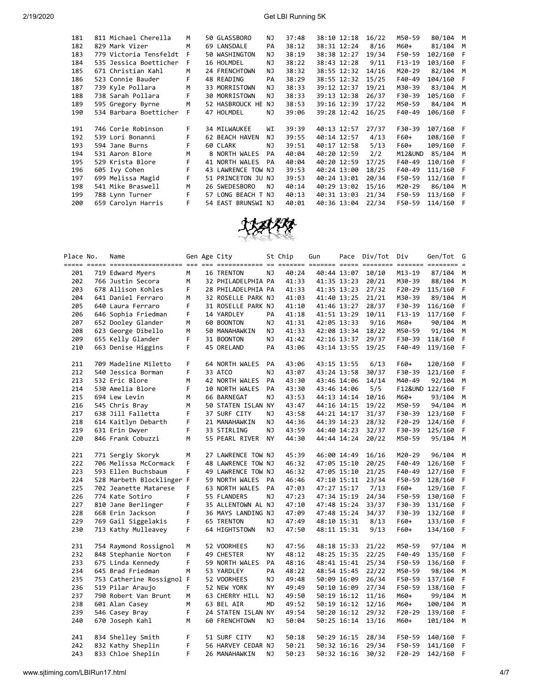| 181 | 811 Michael Cherella   | M  | 50 GLASSBORO         | NJ. | 37:48 | 38:10 12:18 | 16/22 | M50-59   | 80/104    | M   |
|-----|------------------------|----|----------------------|-----|-------|-------------|-------|----------|-----------|-----|
| 182 | 829 Mark Vizer         | M  | 69 LANSDALE          | PA  | 38:12 | 38:31 12:24 | 8/16  | M60+     | 81/104    | M   |
| 183 | 779 Victoria Tensfeldt | F  | 50 WASHINGTON        | NJ  | 38:19 | 38:38 12:27 | 19/34 | F50-59   | 102/160   | F   |
| 184 | 535 Jessica Boetticher | F  | 16 HOLMDEL           | NJ  | 38:22 | 38:43 12:28 | 9/11  | $F13-19$ | 103/160   | F   |
| 185 | 671 Christian Kahl     | M  | 24 FRENCHTOWN        | NJ  | 38:32 | 38:55 12:32 | 14/16 | M20-29   | 82/104    | M   |
| 186 | 523 Connie Bauder      | F. | 48 READING           | PA  | 38:29 | 38:55 12:32 | 15/25 | F40-49   | 104/160   | - F |
| 187 | 739 Kyle Pollara       | M  | 33 MORRISTOWN        | NJ  | 38:33 | 39:12 12:37 | 19/21 | M30-39   | 83/104    | M   |
| 188 | 738 Sarah Pollara      | F. | <b>30 MORRISTOWN</b> | NJ  | 38:33 | 39:13 12:38 | 26/37 | F30-39   | 105/160   | F   |
| 189 | 595 Gregory Byrne      | M  | 52 HASBROUCK HE      | NJ  | 38:53 | 39:16 12:39 | 17/22 | M50-59   | 84/104    | M   |
| 190 | 534 Barbara Boetticher | F  | 47 HOLMDEL           | ΝJ  | 39:06 | 39:28 12:42 | 16/25 | F40-49   | 106/160   | F   |
|     |                        |    |                      |     |       |             |       |          |           |     |
| 191 | 746 Corie Robinson     | F. | 34 MILWAUKEE         | WI  | 39:39 | 40:13 12:57 | 27/37 | F30-39   | 107/160 F |     |
| 192 | 539 Lori Bonanni       | F. | 62 BEACH HAVEN       | NJ  | 39:55 | 40:14 12:57 | 4/13  | F60+     | 108/160   | F   |
| 193 | 594 Jane Burns         | F  | 60 CLARK             | NJ  | 39:51 | 40:17 12:58 | 5/13  | F60+     | 109/160   | - F |
| 194 | 531 Aaron Blore        | M  | 8 NORTH WALES        | PA  | 40:04 | 40:20 12:59 | 2/2   | M12&UND  | 85/104    | M   |
| 195 | 529 Krista Blore       | F  | 41 NORTH WALES       | PA  | 40:04 | 40:20 12:59 | 17/25 | F40-49   | 110/160   | F   |
| 196 | 605 Ivy Cohen          | F  | 43 LAWRENCE TOW NJ   |     | 39:53 | 40:24 13:00 | 18/25 | F40-49   | 111/160   | F   |
| 197 | 699 Melissa Magid      | F  | 51 PRINCETON JU NJ   |     | 39:53 | 40:24 13:01 | 20/34 | F50-59   | 112/160   | F   |
| 198 | 541 Mike Braswell      | M  | 26 SWEDESBORO        | NJ  | 40:14 | 40:29 13:02 | 15/16 | M20-29   | 86/104    | M   |
| 199 | 788 Lynn Turner        | F  | 57 LONG BEACH T NJ   |     | 40:13 | 40:31 13:03 | 21/34 | F50-59   | 113/160   | F   |
| 200 | 659 Carolyn Harris     | F  | 54 EAST BRUNSWI NJ   |     | 40:01 | 40:36 13:04 | 22/34 | F50-59   | 114/160   | F   |
|     |                        |    |                      |     |       |             |       |          |           |     |



| Place No. | Name                      |   | Gen Age City       |           | St Chip | Gun         | Pace        | Div/Tot Div |            | Gen/Tot         | G |
|-----------|---------------------------|---|--------------------|-----------|---------|-------------|-------------|-------------|------------|-----------------|---|
| 201       | 719 Edward Myers          | М | 16 TRENTON         | ΝJ        | 40:24   |             | 40:44 13:07 | 10/10       | $M13 - 19$ | 87/104          | М |
| 202       | 766 Justin Secora         | м | 32 PHILADELPHIA PA |           | 41:33   |             | 41:35 13:23 | 20/21       | M30-39     | 88/104          | М |
| 203       | 678 Allison Kohles        | F | 28 PHILADELPHIA PA |           | 41:33   |             | 41:35 13:23 | 27/32       | F20-29     | 115/160         | F |
| 204       | 641 Daniel Ferraro        | M | 32 ROSELLE PARK NJ |           | 41:03   |             | 41:40 13:25 | 21/21       | M30-39     | 89/104          | M |
| 205       | 640 Laura Ferraro         | F | 31 ROSELLE PARK NJ |           | 41:10   |             | 41:46 13:27 | 28/37       | F30-39     | 116/160         | F |
| 206       | 646 Sophia Friedman       | F | 14 YARDLEY         | PA        | 41:18   |             | 41:51 13:29 | 10/11       | F13-19     | 117/160         | F |
| 207       | 652 Dooley Glander        | M | 60 BOONTON         | NJ.       | 41:31   |             | 42:05 13:33 | 9/16        | M60+       | 90/104          | M |
| 208       | 623 George Dibello        | м | 50 MANAHAWKIN      | ΝJ        | 41:33   |             | 42:08 13:34 | 18/22       | M50-59     | 91/104          | М |
| 209       | 655 Kelly Glander         | F | 31 BOONTON         | ΝJ        | 41:42   |             | 42:16 13:37 | 29/37       | F30-39     | 118/160         | F |
| 210       | 663 Denise Higgins        | F | 45 ORELAND         | PA        | 43:06   |             | 43:14 13:55 | 19/25       | F40-49     | 119/160         | F |
| 211       | 709 Madeline Miletto      | F | 64 NORTH WALES     | PA        | 43:06   | 43:15 13:55 |             | 6/13        | F60+       | 120/160         | F |
| 212       | 540 Jessica Borman        | F | 33 ATCO            | ΝJ        | 43:07   |             | 43:24 13:58 | 30/37       | F30-39     | 121/160         | F |
| 213       | 532 Eric Blore            | M | 42 NORTH WALES     | PA        | 43:30   |             | 43:46 14:06 | 14/14       | M40-49     | 92/104          | М |
| 214       | 530 Amelia Blore          | F | 10 NORTH WALES     | PA        | 43:30   |             | 43:46 14:06 | 5/5         |            | F12&UND 122/160 | F |
| 215       | 694 Lew Levin             | M | 66 BARNEGAT        | ΝJ        | 43:53   |             | 44:13 14:14 | 10/16       | M60+       | 93/104          | M |
| 216       | 545 Chris Bray            | M | 50 STATEN ISLAN NY |           | 43:47   |             | 44:16 14:15 | 19/22       | M50-59     | 94/104          | M |
| 217       | 638 Jill Falletta         | F | 37 SURF CITY       | NJ        | 43:58   |             | 44:21 14:17 | 31/37       | F30-39     | 123/160         | F |
| 218       | 614 Kaitlyn Debarth       | F | 21 MANAHAWKIN      | ΝJ        | 44:36   |             | 44:39 14:23 | 28/32       | $F20-29$   | 124/160         | F |
| 219       | 631 Erin Dwyer            | F | 33 STIRLING        | NJ        | 43:59   |             | 44:40 14:23 | 32/37       | F30-39     | 125/160         | F |
| 220       | 846 Frank Cobuzzi         | М | 55 PEARL RIVER     | <b>NY</b> | 44:30   |             | 44:44 14:24 | 20/22       | M50-59     | 95/104          | М |
| 221       | 771 Sergiy Skoryk         | М | 27 LAWRENCE TOW NJ |           | 45:39   |             | 46:00 14:49 | 16/16       | M20-29     | 96/104          | M |
| 222       | 706 Melissa McCormack     | F | 48 LAWRENCE TOW NJ |           | 46:32   |             | 47:05 15:10 | 20/25       | F40-49     | 126/160         | F |
| 223       | 593 Ellen Buchsbaum       | F | 49 LAWRENCE TOW NJ |           | 46:32   |             | 47:05 15:10 | 21/25       | F40-49     | 127/160         | F |
| 224       | 528 Marbeth Blocklinger F |   | 59 NORTH WALES     | PA        | 46:46   |             | 47:10 15:11 | 23/34       | F50-59     | 128/160         | F |
| 225       | 702 Jeanette Matarese     | F | 63 NORTH WALES     | PA        | 47:03   |             | 47:27 15:17 | 7/13        | F60+       | 129/160         | F |
| 226       | 774 Kate Sotiro           | F | 55 FLANDERS        | ΝJ        | 47:23   |             | 47:34 15:19 | 24/34       | F50-59     | 130/160         | F |
| 227       | 810 Jane Berlinger        | F | 35 ALLENTOWN AL NJ |           | 47:10   |             | 47:48 15:24 | 33/37       | F30-39     | 131/160         | F |
| 228       | 668 Erin Jackson          | F | 36 MAYS LANDING NJ |           | 47:09   |             | 47:48 15:24 | 34/37       | F30-39     | 132/160         | F |
| 229       | 769 Gail Siggelakis       | F | 65 TRENTON         | ΝJ        | 47:49   |             | 48:10 15:31 | 8/13        | F60+       | 133/160         | F |
| 230       | 713 Kathy Mulleavey       | F | 64 HIGHTSTOWN      | ΝJ        | 47:50   |             | 48:11 15:31 | 9/13        | F60+       | 134/160         | F |
| 231       | 754 Raymond Rossignol     | М | 52 VOORHEES        | ΝJ        | 47:56   |             | 48:18 15:33 | 21/22       | M50-59     | 97/104          | М |
| 232       | 848 Stephanie Norton      | F | 49 CHESTER         | NY        | 48:12   |             | 48:25 15:35 | 22/25       | F40-49     | 135/160         | F |
| 233       | 675 Linda Kennedy         | F | 59 NORTH WALES     | PA        | 48:16   |             | 48:41 15:41 | 25/34       | F50-59     | 136/160         | F |
| 234       | 645 Brad Friedman         | M | 53 YARDLEY         | PA        | 48:22   |             | 48:54 15:45 | 22/22       | M50-59     | 98/104          | M |
| 235       | 753 Catherine Rossignol F |   | 52 VOORHEES        | ΝJ        | 49:48   |             | 50:09 16:09 | 26/34       | F50-59     | 137/160         | F |
| 236       | 519 Pilar Araujo          | F | 52 NEW YORK        | <b>NY</b> | 49:49   |             | 50:10 16:09 | 27/34       | F50-59     | 138/160         | F |
| 237       | 790 Robert Van Brunt      | M | 63 CHERRY HILL     | NJ.       | 49:50   |             | 50:19 16:12 | 11/16       | M60+       | 99/104          | M |
| 238       | 601 Alan Casey            | м | 63 BEL AIR         | <b>MD</b> | 49:52   |             | 50:19 16:12 | 12/16       | M60+       | 100/104         | М |
| 239       | 546 Casey Bray            | F | 24 STATEN ISLAN NY |           | 49:54   |             | 50:20 16:12 | 29/32       | F20-29     | 139/160         | F |
| 240       | 670 Joseph Kahl           | М | 60 FRENCHTOWN      | ΝJ        | 50:04   |             | 50:25 16:14 | 13/16       | M60+       | 101/104         | М |
| 241       | 834 Shelley Smith         | F | 51 SURF CITY       | ΝJ        | 50:18   | 50:29 16:15 |             | 28/34       | F50-59     | 140/160         | F |
| 242       | 832 Kathy Sheplin         | F | 56 HARVEY CEDAR NJ |           | 50:21   | 50:32 16:16 |             | 29/34       | F50-59     | 141/160         | F |
| 243       | 833 Chloe Sheplin         | F | 26 MANAHAWKIN      | NJ        | 50:23   |             | 50:32 16:16 | 30/32       | F20-29     | 142/160         | F |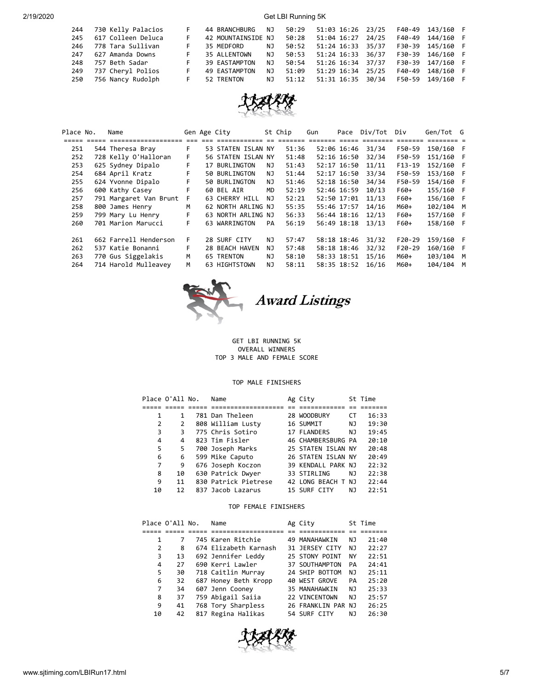| 244 | 730 Kelly Palacios |    | 44 BRANCHBURG      | NJ. | 50:29 | 51:03 16:26 23/25 |       |        | F40-49 143/160 F |  |
|-----|--------------------|----|--------------------|-----|-------|-------------------|-------|--------|------------------|--|
| 245 | 617 Colleen Deluca |    | 42 MOUNTAINSIDE NJ |     | 50:28 | 51:04 16:27       | 24/25 | F40-49 | 144/160 F        |  |
| 246 | 778 Tara Sullivan  |    | 35 MEDFORD         | ΝJ  | 50:52 | 51:24 16:33 35/37 |       |        | F30-39 145/160 F |  |
| 247 | 627 Amanda Downs   |    | 35 ALLENTOWN       | NJ  | 50:53 | 51:24 16:33 36/37 |       |        | F30-39 146/160 F |  |
| 248 | 757 Beth Sadar     |    | 39 EASTAMPTON      | NJ. | 50:54 | 51:26 16:34 37/37 |       |        | F30-39 147/160 F |  |
| 249 | 737 Cheryl Polios  | F  | 49 EASTAMPTON      | NJ  | 51:09 | 51:29 16:34 25/25 |       | F40-49 | 148/160 F        |  |
| 250 | 756 Nancy Rudolph  | F. | 52 TRENTON         | NJ  | 51:12 | 51:31 16:35 30/34 |       |        | F50-59 149/160   |  |



| Place No. | Name                                                                                 |    | Gen Age City       |           | St Chip | Gun | Pace            | Div/Tot | Div      | Gen/Tot G |  |
|-----------|--------------------------------------------------------------------------------------|----|--------------------|-----------|---------|-----|-----------------|---------|----------|-----------|--|
|           | <u>soso soso cococococococoso es en acocococos es cococo concer coco coco cococo</u> |    |                    |           |         |     |                 |         | =======  |           |  |
| 251       | 544 Theresa Bray                                                                     | F. | 53 STATEN ISLAN NY |           | 51:36   |     | 52:06 16:46     | 31/34   | F50-59   | 150/160 F |  |
| 252       | 728 Kelly O'Halloran                                                                 | F. | 56 STATEN ISLAN NY |           | 51:48   |     | 52:16 16:50     | 32/34   | F50-59   | 151/160   |  |
| 253       | 625 Sydney Dipalo                                                                    | F. | 17 BURLINGTON      | NJ        | 51:43   |     | 52:17 16:50     | 11/11   | $F13-19$ | 152/160 F |  |
| 254       | 684 April Kratz                                                                      | F. | 50 BURLINGTON      | NJ.       | 51:44   |     | 52:17 16:50     | 33/34   | F50-59   | 153/160 F |  |
| 255       | 624 Yvonne Dipalo                                                                    |    | 50 BURLINGTON      | NJ.       | 51:46   |     | 52:18 16:50     | 34/34   | F50-59   | 154/160 F |  |
| 256       | 600 Kathy Casey                                                                      | F. | 60 BEL AIR         | <b>MD</b> | 52:19   |     | 52:46 16:59     | 10/13   | F60+     | 155/160 F |  |
| 257       | 791 Margaret Van Brunt                                                               | -F | 63 CHERRY HILL     | NJ.       | 52:21   |     | 52:50 17:01     | 11/13   | F60+     | 156/160 F |  |
| 258       | 800 James Henry                                                                      | м  | 62 NORTH ARLING NJ |           | 55:35   |     | 55:46 17:57     | 14/16   | M60+     | 102/104 M |  |
| 259       | 799 Mary Lu Henry                                                                    | F. | 63 NORTH ARLING NJ |           | 56:33   |     | $56:44$ $18:16$ | 12/13   | F60+     | 157/160 F |  |
| 260       | 701 Marion Marucci                                                                   | F. | 63 WARRINGTON      | <b>PA</b> | 56:19   |     | 56:49 18:18     | 13/13   | F60+     | 158/160 F |  |
| 261       | 662 Farrell Henderson                                                                | F. | 28 SURF CITY       | NJ.       | 57:47   |     | 58:18 18:46     | 31/32   | $F20-29$ | 159/160 F |  |
| 262       | 537 Katie Bonanni                                                                    | F. | 28 BEACH HAVEN     | NJ.       | 57:48   |     | 58:18 18:46     | 32/32   | $F20-29$ | 160/160 F |  |
| 263       | 770 Gus Siggelakis                                                                   | M  | <b>65 TRENTON</b>  | NJ.       | 58:10   |     | 58:33 18:51     | 15/16   | M60+     | 103/104 M |  |
| 264       | 714 Harold Mulleavey                                                                 | M  | 63 HIGHTSTOWN      | NJ.       | 58:11   |     | 58:35 18:52     | 16/16   | M60+     | 104/104 M |  |



Award Listings

GET LBI RUNNING 5K OVERALL WINNERS TOP 3 MALE AND FEMALE SCORE

## TOP MALE FINISHERS

|    | Place O'All No. | Name                 | Ag City            |    | St Time |
|----|-----------------|----------------------|--------------------|----|---------|
|    |                 |                      |                    |    |         |
| 1  | 1               | 781 Dan Theleen      | 28 WOODBURY        | CТ | 16:33   |
| 2  | 2               | 808 William Lusty    | 16 SUMMIT          | NJ | 19:30   |
| 3  | 3               | 775 Chris Sotiro     | 17 FLANDERS        | NJ | 19:45   |
| 4  | 4               | 823 Tim Fisler       | 46 CHAMBERSBURG PA |    | 20:10   |
| 5  | 5               | 700 Joseph Marks     | 25 STATEN ISLAN NY |    | 20:48   |
| 6  | 6               | 599 Mike Caputo      | 26 STATEN ISLAN NY |    | 20:49   |
| 7  | 9               | 676 Joseph Koczon    | 39 KENDALL PARK NJ |    | 22:32   |
| 8  | 10              | 630 Patrick Dwyer    | 33 STIRLING        | NJ | 22:38   |
| 9  | 11              | 830 Patrick Pietrese | 42 LONG BEACH T NJ |    | 22:44   |
| 10 | 12              | 837 Jacob Lazarus    | 15 SURF CITY       | ΝJ | 22:51   |

## TOP FEMALE FINISHERS

|    | Place O'All No. | Name                  | Ag City            |    | St Time |
|----|-----------------|-----------------------|--------------------|----|---------|
|    |                 |                       |                    |    |         |
| 1  |                 | 745 Karen Ritchie     | 49 MANAHAWKIN      | NJ | 21:40   |
| 2  | 8               | 674 Elizabeth Karnash | 31 JERSEY CITY     | NJ | 22:27   |
| 3  | 13              | 692 Jennifer Leddy    | 25 STONY POINT     | NΥ | 22:51   |
| 4  | 27              | 690 Kerri Lawler      | 37 SOUTHAMPTON     | PA | 24:41   |
| 5  | 30              | 718 Caitlin Murray    | 24 SHIP BOTTOM     | ΝJ | 25:11   |
| 6  | 32              | 687 Honey Beth Kropp  | 40 WEST GROVE      | PA | 25:20   |
| 7  | 34              | 607 Jenn Cooney       | 35 MANAHAWKIN      | NJ | 25:33   |
| 8  | 37              | 759 Abigail Saiia     | 22 VINCENTOWN      | NJ | 25:57   |
| 9  | 41              | 768 Tory Sharpless    | 26 FRANKLIN PAR NJ |    | 26:25   |
| 10 | 42              | 817 Regina Halikas    | 54 SURF CITY       | ΝJ | 26:30   |

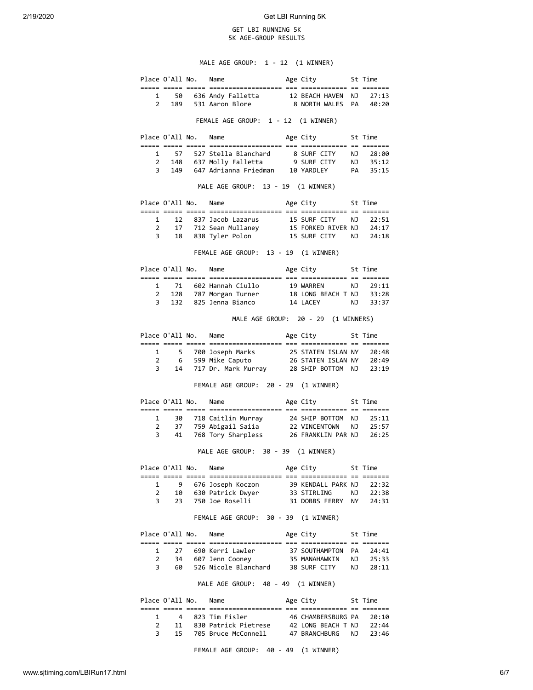## GET LBI RUNNING 5K 5K AGE-GROUP RESULTS

MALE AGE GROUP: 1 - 12 (1 WINNER)

|                                     |                | Place O'All No.      | Name                                                                                                                                                 |  | Age City                |  | St Time |  |
|-------------------------------------|----------------|----------------------|------------------------------------------------------------------------------------------------------------------------------------------------------|--|-------------------------|--|---------|--|
|                                     |                |                      |                                                                                                                                                      |  |                         |  |         |  |
|                                     |                |                      | 1 50 636 Andy Falletta 12 BEACH HAVEN NJ 27:13<br>2 189 531 Aaron Blore 8 NORTH WALES PA 40:20                                                       |  |                         |  |         |  |
|                                     |                |                      |                                                                                                                                                      |  |                         |  |         |  |
| FEMALE AGE GROUP: 1 - 12 (1 WINNER) |                |                      |                                                                                                                                                      |  |                         |  |         |  |
|                                     |                |                      | Place O'All No. Name                                                                                                                                 |  | Age City 5t Time        |  |         |  |
|                                     |                |                      |                                                                                                                                                      |  |                         |  |         |  |
| $\mathbf{1}$                        |                |                      | 57 527 Stella Blanchard 8 SURF CITY NJ 28:00<br>2 148 637 Molly Falletta 9 SURF CITY NJ 35:12                                                        |  |                         |  |         |  |
|                                     |                |                      | 3 149 647 Adrianna Friedman 10 YARDLEY PA 35:15                                                                                                      |  |                         |  |         |  |
|                                     |                |                      |                                                                                                                                                      |  |                         |  |         |  |
|                                     |                |                      | MALE AGE GROUP: 13 - 19 (1 WINNER)                                                                                                                   |  |                         |  |         |  |
|                                     |                |                      | Place O'All No. Name                                                                                                                                 |  | Age City 5t Time        |  |         |  |
|                                     |                |                      |                                                                                                                                                      |  |                         |  |         |  |
| $\mathbf{2}$                        | $1 \quad$      |                      |                                                                                                                                                      |  |                         |  |         |  |
|                                     | $\overline{3}$ |                      | 12 837 Jacob Lazarus 15 SURF CITY NJ 22:51<br>17 712 Sean Mullaney 15 FORKED RIVER NJ 24:17<br>18 838 Tyler Polon 15 SURF CITY NJ 24:18              |  |                         |  |         |  |
|                                     |                |                      | FEMALE AGE GROUP: 13 - 19 (1 WINNER)                                                                                                                 |  |                         |  |         |  |
|                                     |                |                      |                                                                                                                                                      |  |                         |  |         |  |
|                                     |                |                      | Place O'All No. Name                                                                                                                                 |  | Age City 5t Time        |  |         |  |
|                                     |                |                      |                                                                                                                                                      |  |                         |  |         |  |
|                                     |                |                      | 1 71 602 Hannah Ciullo 19 WARREN NJ 29:11<br>2 128 787 Morgan Turner 18 LONG BEACH T NJ 33:28                                                        |  |                         |  |         |  |
|                                     | $3^{\circ}$    |                      | 132 825 Jenna Bianco 14 LACEY NJ 33:37                                                                                                               |  |                         |  |         |  |
|                                     |                |                      | MALE AGE GROUP: 20 - 29 (1 WINNERS)                                                                                                                  |  |                         |  |         |  |
|                                     |                |                      | Place O'All No. Name                                                                                                                                 |  | Age City 5t Time        |  |         |  |
|                                     |                |                      |                                                                                                                                                      |  |                         |  |         |  |
|                                     |                |                      | 1 5 700 Joseph Marks 25 STATEN ISLAN NY 20:48                                                                                                        |  |                         |  |         |  |
|                                     |                |                      | 2 6 599 Mike Caputo 26 STATEN ISLAN NY 20:49<br>3 14 717 Dr. Mark Murray 28 SHIP BOTTOM NJ 23:19                                                     |  |                         |  |         |  |
|                                     |                |                      | FEMALE AGE GROUP: 20 - 29 (1 WINNER)                                                                                                                 |  |                         |  |         |  |
|                                     |                |                      | Place O'All No. Name                                                                                                                                 |  | Age City 5t Time        |  |         |  |
|                                     |                |                      |                                                                                                                                                      |  |                         |  |         |  |
| $\mathbf{1}$<br>$\mathbf{2}$        |                |                      |                                                                                                                                                      |  |                         |  |         |  |
|                                     | $\overline{3}$ |                      | 30 718 Caitlin Murray 24 SHIP BOTTOM NJ 25:11<br>37 759 Abigail Saiia 22 VINCENTOWN NJ 25:57<br>41 768 Tory Sharpless 26 FRANKLIN PAR NJ 26:25       |  |                         |  |         |  |
|                                     |                |                      | MALE AGE GROUP: 30 - 39 (1 WINNER)                                                                                                                   |  |                         |  |         |  |
|                                     |                |                      |                                                                                                                                                      |  |                         |  |         |  |
|                                     |                |                      | Place O'All No. Name Mage City St Time                                                                                                               |  |                         |  |         |  |
| $\mathbf{1}$                        |                |                      |                                                                                                                                                      |  |                         |  |         |  |
| $\overline{2}$                      |                |                      | 9 676 Joseph Koczon 39 KENDALL PARK NJ 22:32<br>10 630 Patrick Dwyer 33 STIRLING NJ 22:38                                                            |  |                         |  |         |  |
| 3                                   |                |                      | 23 750 Joe Roselli 31 DOBBS FERRY NY 24:31                                                                                                           |  |                         |  |         |  |
|                                     |                |                      | FEMALE AGE GROUP: 30 - 39 (1 WINNER)                                                                                                                 |  |                         |  |         |  |
|                                     |                |                      | Place O'All No. Name                                                                                                                                 |  | Age City 5t Time        |  |         |  |
|                                     |                |                      |                                                                                                                                                      |  |                         |  |         |  |
| $\mathbf{1}$                        |                |                      | 27   690 Kerri Lawler<br>2 34 607 Jenn Cooney 35 MANAHAWKIN NJ 25:33                                                                                 |  | 37 SOUTHAMPTON PA 24:41 |  |         |  |
|                                     | $3^{\circ}$    |                      | 60 526 Nicole Blanchard 38 SURF CITY NJ 28:11                                                                                                        |  |                         |  |         |  |
|                                     |                |                      | MALE AGE GROUP: 40 - 49 (1 WINNER)                                                                                                                   |  |                         |  |         |  |
|                                     |                | Place O'All No. Name |                                                                                                                                                      |  | Age City 5t Time        |  |         |  |
|                                     |                |                      |                                                                                                                                                      |  |                         |  |         |  |
|                                     |                |                      | 1 4 823 Tim Fisler 46 CHAMBERSBURG PA 20:10<br>2 11 830 Patrick Pietrese 42 LONG BEACH T NJ 22:44<br>3 15 705 Bruce McConnell 47 BRANCHBURG NJ 23:46 |  |                         |  |         |  |
|                                     |                |                      |                                                                                                                                                      |  |                         |  |         |  |
|                                     |                |                      |                                                                                                                                                      |  |                         |  |         |  |
|                                     |                |                      | FEMALE AGE GROUP: 40 - 49 (1 WINNER)                                                                                                                 |  |                         |  |         |  |

www.sjtiming.com/LBIRun17.html 6/7